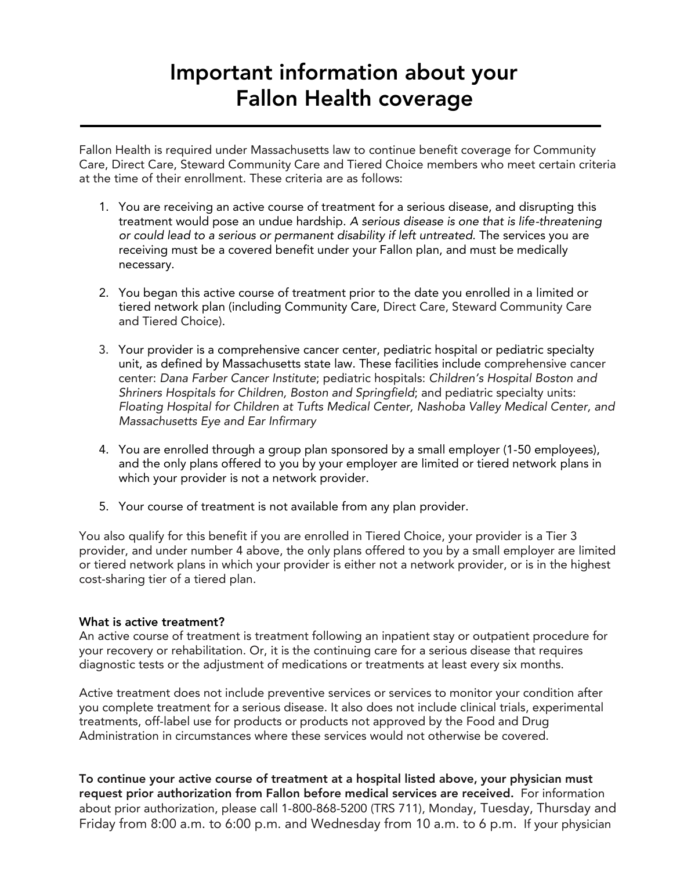## Important information above  $\frac{1}{2}$ Fallon Health coverage

Fallon Health is required under Massachusetts law to continue benefit coverage for Community at the time of their enrollment. These criteria are as follows: at the time of their enrollment. These criteria are as follows:

- 1. You are receiving an active course of treatment for a serious disease, and disrupting this treatment would pose an undue hardship. A serious disease is one that is life-threatening or could lead to a serious or permanent disability if left untreated. The services you are receiving must be a covered benefit under your Fallon plan, and must be medically receiving must be a covered benefit under your Fallon plan, and must be medically necessary.
- 2. You began this active course of treatment prior to the date you enrolled in a limited or and Tiered Choice). and Tiered Choice).
- 3. Your provider is a comprehensive cancer center, pediatric hospital or pediatric specialty center: Dana Farber Cancer Institute; pediatric hospitals: Children's Hospital Boston and Shriners Hospitals for Children, Boston and Springfield; and pediatric specialty units: Floating Hospital for Children at Tufts Medical Center, Nashoba Valley Medical Center, and  $\frac{1}{2}$  Massachusatts Fva and Far Infirmary  $\mathcal{L}_{\mathcal{A}}$
- 4. You are enrolled through a group plan sponsored by a small employer (1-50 employees), which your provider is not a network provider. which your provider is not a network provider.
- 5. Your course of treatment is not available from any plan provider.

You also qualify for this benefit if you are enrolled in Tiered Choice, your provider is a Tier 3<br>provider, and under number 4 above, the only plans offered to you by a small employer are limited or tiered network plans in which your provider is either not a network provider, or is in the highest or tiered network plans in which you provide the most provider is either not a network provider is in the highest provider in the highest provider is in the highest provider in the highest provider in the highest provider cost-sharing tier of a tiered plan.

What is active treatment?<br>An active course of treatment is treatment following an inpatient stay or outpatient procedure for your recovery or rehabilitation. Or, it is the continuing care for a serious disease that requires y<br>diagnostic tests or the adjustment of medications or treatments at least eveny six months diagnostic tests or the adjustment of medications or treatments at least every six months.

Active treatment does not include preventive services or services to monitor your condition after<br>you complete treatment for a serious disease. It also does not include clinical trials, experimental treatments, off-label use for products or products not approved by the Food and Drug Administration in circumstances where these services would not otherwise be covered. Administration in circumstances where these services would not otherwise be covered.

To continue your active course of treatment at a hospital listed above, your physician must about prior authorization, please call 1-800-868-5200 (TRS 711), Monday, Tuesday, Thursday and Friday from 8:00 a.m. to 6:00 p.m. and Wednesday from 10 a.m. to 6 p.m. If your physician Friday from 8:00 a.m. to 6:00 p.m. and Wednesday from 10 a.m. to 6 p.m. If your physician